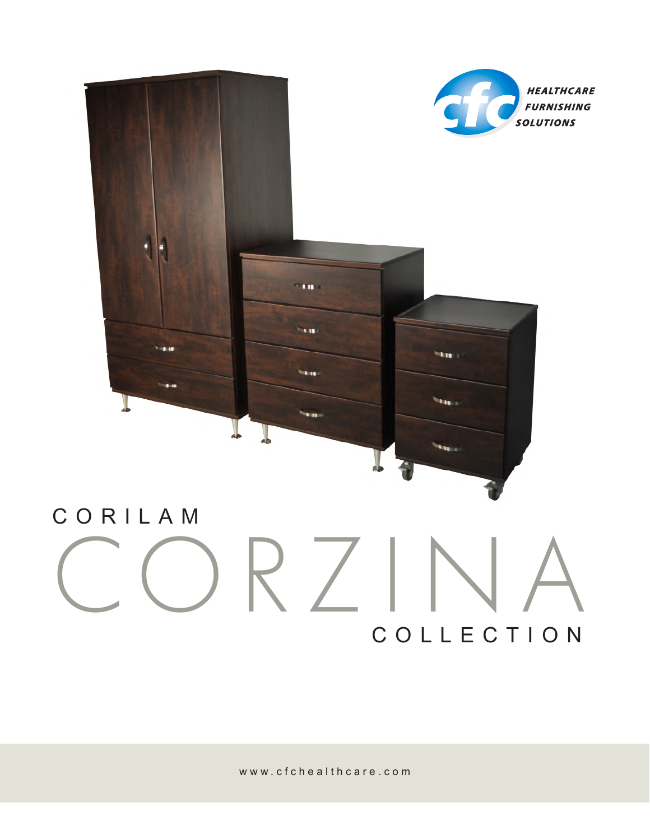

# $\langle$ COLLECTION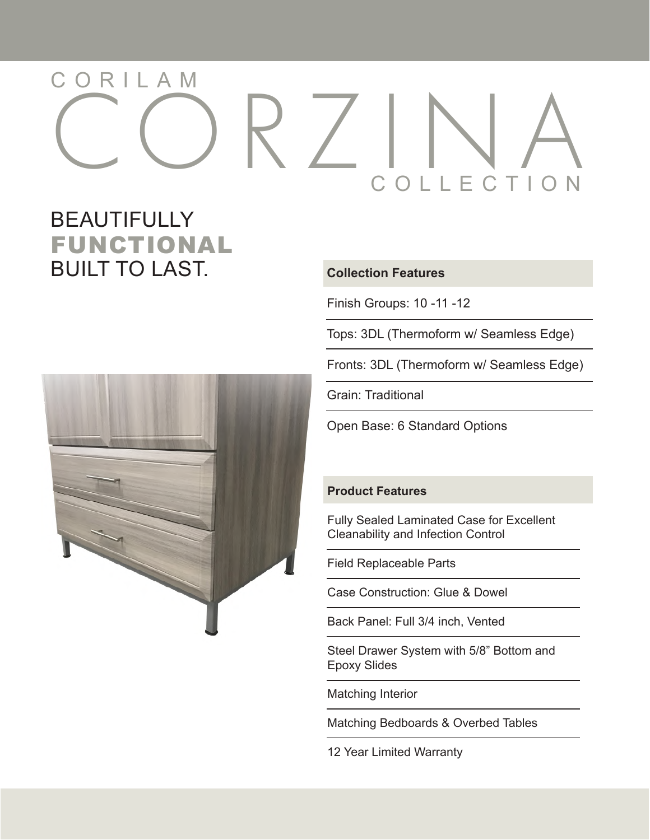## CORZINA COLLECTION CORILAM

### FUNCTIONAL BEAUTIFULLY **BUILT TO LAST.** Collection Features



Finish Groups: 10 -11 -12

Tops: 3DL (Thermoform w/ Seamless Edge)

Fronts: 3DL (Thermoform w/ Seamless Edge)

Grain: Traditional

Open Base: 6 Standard Options

#### **Product Features**

Fully Sealed Laminated Case for Excellent Cleanability and Infection Control

Field Replaceable Parts

Case Construction: Glue & Dowel

Back Panel: Full 3/4 inch, Vented

Steel Drawer System with 5/8" Bottom and Epoxy Slides

Matching Interior

Matching Bedboards & Overbed Tables

12 Year Limited Warranty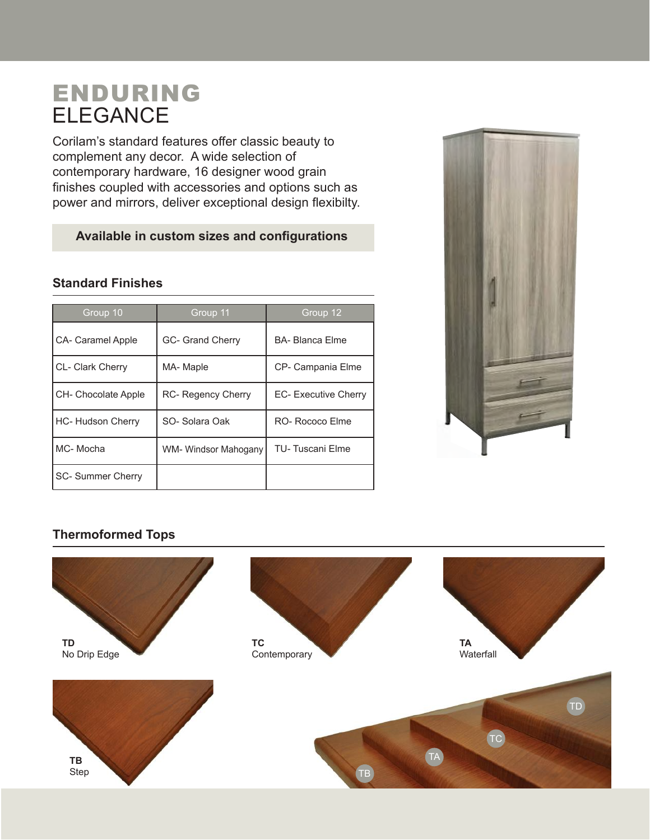## ENDURING ELEGANCE

Corilam's standard features offer classic beauty to complement any decor. A wide selection of contemporary hardware, 16 designer wood grain finishes coupled with accessories and options such as power and mirrors, deliver exceptional design flexibilty.

#### **Available in custom sizes and configurations**

#### **Standard Finishes**

| Group 10                 | Group 11                  | Group 12                    |
|--------------------------|---------------------------|-----------------------------|
| CA- Caramel Apple        | <b>GC- Grand Cherry</b>   | <b>BA-Blanca Flme</b>       |
| <b>CL- Clark Cherry</b>  | MA-Maple                  | CP- Campania Elme           |
| CH- Chocolate Apple      | <b>RC- Regency Cherry</b> | <b>EC- Executive Cherry</b> |
| <b>HC- Hudson Cherry</b> | SO-Solara Oak             | RO- Rococo Flme             |
| MC-Mocha                 | WM- Windsor Mahogany      | <b>TU-Tuscani Elme</b>      |
| <b>SC- Summer Cherry</b> |                           |                             |



#### **Thermoformed Tops**

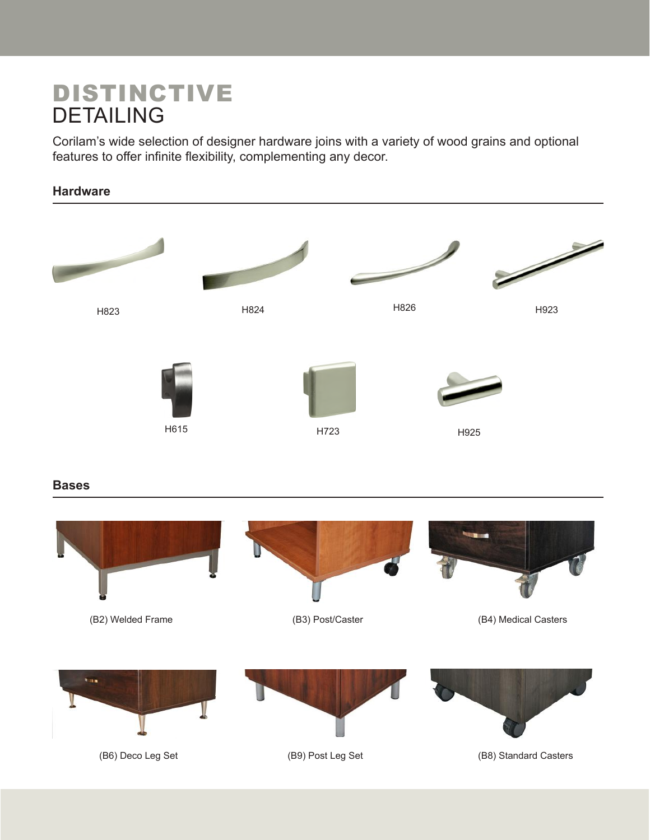## DISTINCTIVE DETAILING

Corilam's wide selection of designer hardware joins with a variety of wood grains and optional features to offer infinite flexibility, complementing any decor.

#### **Hardware**



#### **Bases**

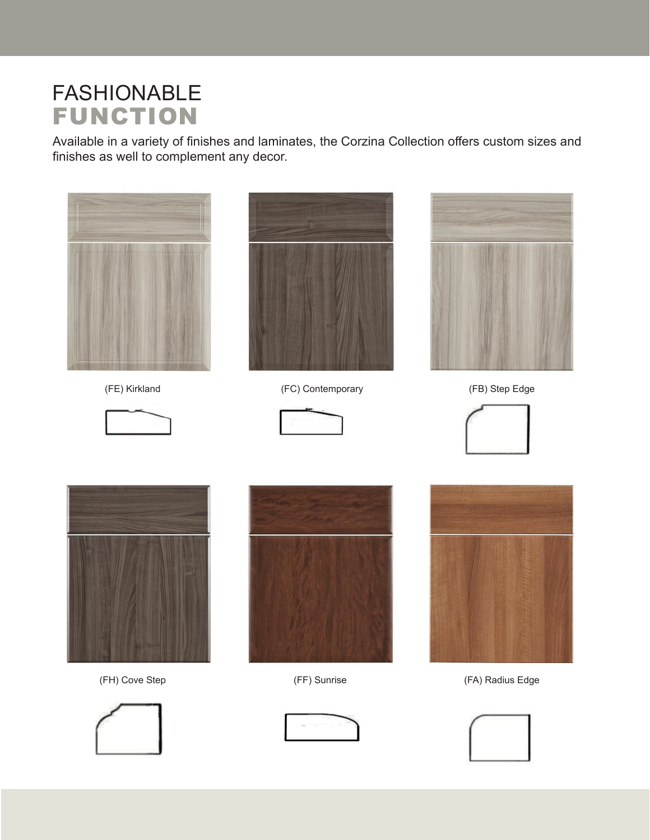## FASHIONABLE FUNCTION

Available in a variety of finishes and laminates, the Corzina Collection offers custom sizes and finishes as well to complement any decor.